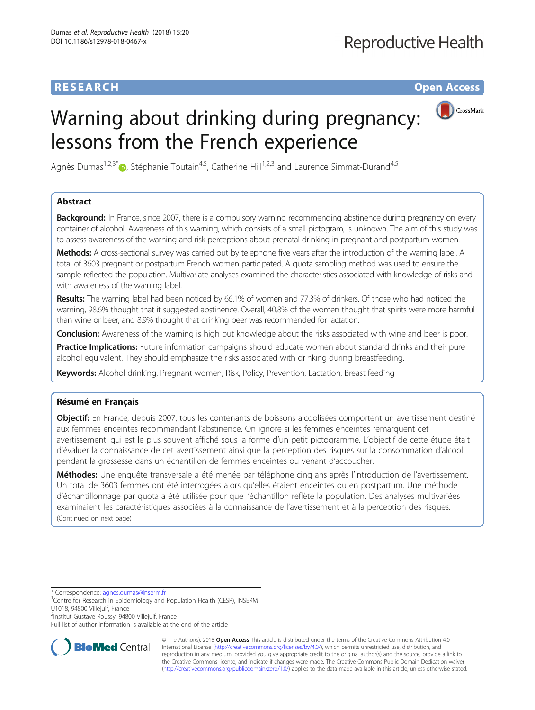# **RESEARCH RESEARCH** *CHECK <b>CHECK*

# Warning about drinking during pregnancy: lessons from the French experience



Agnès Dumas<sup>1[,](http://orcid.org/0000-0001-7948-6952)2,3\*</sup> $\bullet$ , Stéphanie Toutain<sup>4,5</sup>, Catherine Hill<sup>1,2,3</sup> and Laurence Simmat-Durand<sup>4,5</sup>

# Abstract

**Background:** In France, since 2007, there is a compulsory warning recommending abstinence during pregnancy on every container of alcohol. Awareness of this warning, which consists of a small pictogram, is unknown. The aim of this study was to assess awareness of the warning and risk perceptions about prenatal drinking in pregnant and postpartum women.

Methods: A cross-sectional survey was carried out by telephone five years after the introduction of the warning label. A total of 3603 pregnant or postpartum French women participated. A quota sampling method was used to ensure the sample reflected the population. Multivariate analyses examined the characteristics associated with knowledge of risks and with awareness of the warning label.

Results: The warning label had been noticed by 66.1% of women and 77.3% of drinkers. Of those who had noticed the warning, 98.6% thought that it suggested abstinence. Overall, 40.8% of the women thought that spirits were more harmful than wine or beer, and 8.9% thought that drinking beer was recommended for lactation.

**Conclusion:** Awareness of the warning is high but knowledge about the risks associated with wine and beer is poor.

Practice Implications: Future information campaigns should educate women about standard drinks and their pure alcohol equivalent. They should emphasize the risks associated with drinking during breastfeeding.

Keywords: Alcohol drinking, Pregnant women, Risk, Policy, Prevention, Lactation, Breast feeding

# Résumé en Français

**Objectif:** En France, depuis 2007, tous les contenants de boissons alcoolisées comportent un avertissement destiné aux femmes enceintes recommandant l'abstinence. On ignore si les femmes enceintes remarquent cet avertissement, qui est le plus souvent affiché sous la forme d'un petit pictogramme. L'objectif de cette étude était d'évaluer la connaissance de cet avertissement ainsi que la perception des risques sur la consommation d'alcool pendant la grossesse dans un échantillon de femmes enceintes ou venant d'accoucher.

Méthodes: Une enquête transversale a été menée par téléphone cinq ans après l'introduction de l'avertissement. Un total de 3603 femmes ont été interrogées alors qu'elles étaient enceintes ou en postpartum. Une méthode d'échantillonnage par quota a été utilisée pour que l'échantillon reflète la population. Des analyses multivariées examinaient les caractéristiques associées à la connaissance de l'avertissement et à la perception des risques. (Continued on next page)

\* Correspondence: [agnes.dumas@inserm.fr](mailto:agnes.dumas@inserm.fr) <sup>1</sup>

2 Institut Gustave Roussy, 94800 Villejuif, France

Full list of author information is available at the end of the article



© The Author(s). 2018 Open Access This article is distributed under the terms of the Creative Commons Attribution 4.0 International License [\(http://creativecommons.org/licenses/by/4.0/](http://creativecommons.org/licenses/by/4.0/)), which permits unrestricted use, distribution, and reproduction in any medium, provided you give appropriate credit to the original author(s) and the source, provide a link to the Creative Commons license, and indicate if changes were made. The Creative Commons Public Domain Dedication waiver [\(http://creativecommons.org/publicdomain/zero/1.0/](http://creativecommons.org/publicdomain/zero/1.0/)) applies to the data made available in this article, unless otherwise stated.

<sup>&</sup>lt;sup>1</sup>Centre for Research in Epidemiology and Population Health (CESP), INSERM U1018, 94800 Villejuif, France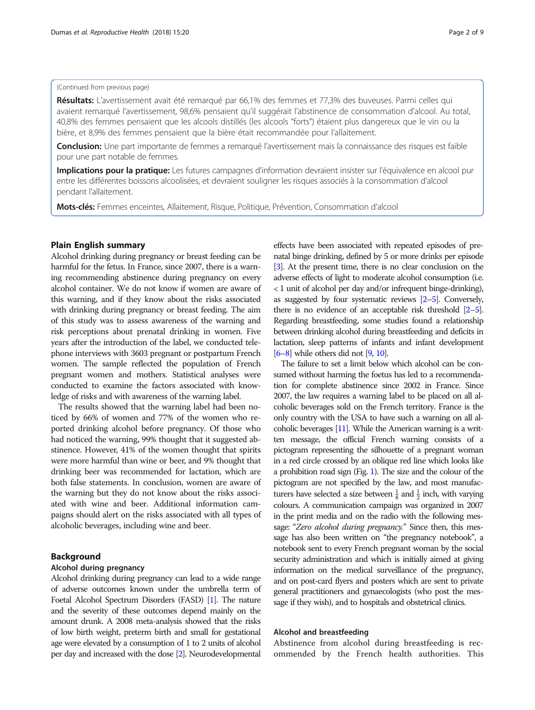## (Continued from previous page)

Résultats: L'avertissement avait été remarqué par 66,1% des femmes et 77,3% des buveuses. Parmi celles qui avaient remarqué l'avertissement, 98,6% pensaient qu'il suggérait l'abstinence de consommation d'alcool. Au total, 40,8% des femmes pensaient que les alcools distillés (les alcools "forts") étaient plus dangereux que le vin ou la bière, et 8,9% des femmes pensaient que la bière était recommandée pour l'allaitement.

Conclusion: Une part importante de femmes a remarqué l'avertissement mais la connaissance des risques est faible pour une part notable de femmes.

Implications pour la pratique: Les futures campagnes d'information devraient insister sur l'équivalence en alcool pur entre les différentes boissons alcoolisées, et devraient souligner les risques associés à la consommation d'alcool pendant l'allaitement.

Mots-clés: Femmes enceintes, Allaitement, Risque, Politique, Prévention, Consommation d'alcool

#### Plain English summary

Alcohol drinking during pregnancy or breast feeding can be harmful for the fetus. In France, since 2007, there is a warning recommending abstinence during pregnancy on every alcohol container. We do not know if women are aware of this warning, and if they know about the risks associated with drinking during pregnancy or breast feeding. The aim of this study was to assess awareness of the warning and risk perceptions about prenatal drinking in women. Five years after the introduction of the label, we conducted telephone interviews with 3603 pregnant or postpartum French women. The sample reflected the population of French pregnant women and mothers. Statistical analyses were conducted to examine the factors associated with knowledge of risks and with awareness of the warning label.

The results showed that the warning label had been noticed by 66% of women and 77% of the women who reported drinking alcohol before pregnancy. Of those who had noticed the warning, 99% thought that it suggested abstinence. However, 41% of the women thought that spirits were more harmful than wine or beer, and 9% thought that drinking beer was recommended for lactation, which are both false statements. In conclusion, women are aware of the warning but they do not know about the risks associated with wine and beer. Additional information campaigns should alert on the risks associated with all types of alcoholic beverages, including wine and beer.

## Background

## Alcohol during pregnancy

Alcohol drinking during pregnancy can lead to a wide range of adverse outcomes known under the umbrella term of Foetal Alcohol Spectrum Disorders (FASD) [\[1](#page-7-0)]. The nature and the severity of these outcomes depend mainly on the amount drunk. A 2008 meta-analysis showed that the risks of low birth weight, preterm birth and small for gestational age were elevated by a consumption of 1 to 2 units of alcohol per day and increased with the dose [[2](#page-7-0)]. Neurodevelopmental

effects have been associated with repeated episodes of prenatal binge drinking, defined by 5 or more drinks per episode [[3](#page-7-0)]. At the present time, there is no clear conclusion on the adverse effects of light to moderate alcohol consumption (i.e. < 1 unit of alcohol per day and/or infrequent binge-drinking), as suggested by four systematic reviews [\[2](#page-7-0)–[5\]](#page-7-0). Conversely, there is no evidence of an acceptable risk threshold [\[2](#page-7-0)–[5\]](#page-7-0). Regarding breastfeeding, some studies found a relationship between drinking alcohol during breastfeeding and deficits in lactation, sleep patterns of infants and infant development [[6](#page-7-0)–[8](#page-7-0)] while others did not [[9](#page-7-0), [10\]](#page-7-0).

The failure to set a limit below which alcohol can be consumed without harming the foetus has led to a recommendation for complete abstinence since 2002 in France. Since 2007, the law requires a warning label to be placed on all alcoholic beverages sold on the French territory. France is the only country with the USA to have such a warning on all alcoholic beverages [\[11](#page-7-0)]. While the American warning is a written message, the official French warning consists of a pictogram representing the silhouette of a pregnant woman in a red circle crossed by an oblique red line which looks like a prohibition road sign (Fig. [1\)](#page-2-0). The size and the colour of the pictogram are not specified by the law, and most manufacturers have selected a size between  $\frac{1}{8}$  and  $\frac{1}{2}$  inch, with varying colours. A communication campaign was organized in 2007 in the print media and on the radio with the following message: "Zero alcohol during pregnancy." Since then, this message has also been written on "the pregnancy notebook", a notebook sent to every French pregnant woman by the social security administration and which is initially aimed at giving information on the medical surveillance of the pregnancy, and on post-card flyers and posters which are sent to private general practitioners and gynaecologists (who post the message if they wish), and to hospitals and obstetrical clinics.

### Alcohol and breastfeeding

Abstinence from alcohol during breastfeeding is recommended by the French health authorities. This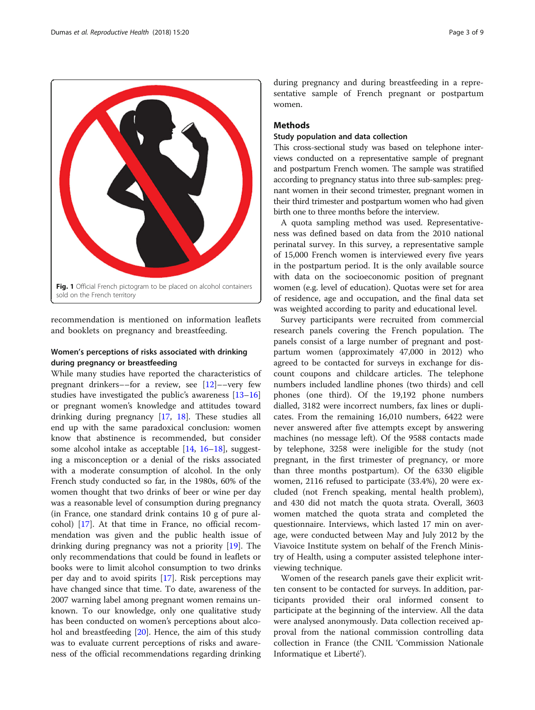<span id="page-2-0"></span>

recommendation is mentioned on information leaflets and booklets on pregnancy and breastfeeding.

## Women's perceptions of risks associated with drinking during pregnancy or breastfeeding

While many studies have reported the characteristics of pregnant drinkers––for a review, see [[12\]](#page-7-0)––very few studies have investigated the public's awareness [[13](#page-7-0)–[16](#page-8-0)] or pregnant women's knowledge and attitudes toward drinking during pregnancy [[17](#page-8-0), [18\]](#page-8-0). These studies all end up with the same paradoxical conclusion: women know that abstinence is recommended, but consider some alcohol intake as acceptable [\[14](#page-8-0), [16](#page-8-0)–[18\]](#page-8-0), suggesting a misconception or a denial of the risks associated with a moderate consumption of alcohol. In the only French study conducted so far, in the 1980s, 60% of the women thought that two drinks of beer or wine per day was a reasonable level of consumption during pregnancy (in France, one standard drink contains 10 g of pure alcohol) [\[17\]](#page-8-0). At that time in France, no official recommendation was given and the public health issue of drinking during pregnancy was not a priority [\[19](#page-8-0)]. The only recommendations that could be found in leaflets or books were to limit alcohol consumption to two drinks per day and to avoid spirits [[17](#page-8-0)]. Risk perceptions may have changed since that time. To date, awareness of the 2007 warning label among pregnant women remains unknown. To our knowledge, only one qualitative study has been conducted on women's perceptions about alcohol and breastfeeding [[20\]](#page-8-0). Hence, the aim of this study was to evaluate current perceptions of risks and awareness of the official recommendations regarding drinking

during pregnancy and during breastfeeding in a representative sample of French pregnant or postpartum women.

## **Methods**

## Study population and data collection

This cross-sectional study was based on telephone interviews conducted on a representative sample of pregnant and postpartum French women. The sample was stratified according to pregnancy status into three sub-samples: pregnant women in their second trimester, pregnant women in their third trimester and postpartum women who had given birth one to three months before the interview.

A quota sampling method was used. Representativeness was defined based on data from the 2010 national perinatal survey. In this survey, a representative sample of 15,000 French women is interviewed every five years in the postpartum period. It is the only available source with data on the socioeconomic position of pregnant women (e.g. level of education). Quotas were set for area of residence, age and occupation, and the final data set was weighted according to parity and educational level.

Survey participants were recruited from commercial research panels covering the French population. The panels consist of a large number of pregnant and postpartum women (approximately 47,000 in 2012) who agreed to be contacted for surveys in exchange for discount coupons and childcare articles. The telephone numbers included landline phones (two thirds) and cell phones (one third). Of the 19,192 phone numbers dialled, 3182 were incorrect numbers, fax lines or duplicates. From the remaining 16,010 numbers, 6422 were never answered after five attempts except by answering machines (no message left). Of the 9588 contacts made by telephone, 3258 were ineligible for the study (not pregnant, in the first trimester of pregnancy, or more than three months postpartum). Of the 6330 eligible women, 2116 refused to participate (33.4%), 20 were excluded (not French speaking, mental health problem), and 430 did not match the quota strata. Overall, 3603 women matched the quota strata and completed the questionnaire. Interviews, which lasted 17 min on average, were conducted between May and July 2012 by the Viavoice Institute system on behalf of the French Ministry of Health, using a computer assisted telephone interviewing technique.

Women of the research panels gave their explicit written consent to be contacted for surveys. In addition, participants provided their oral informed consent to participate at the beginning of the interview. All the data were analysed anonymously. Data collection received approval from the national commission controlling data collection in France (the CNIL 'Commission Nationale Informatique et Liberté').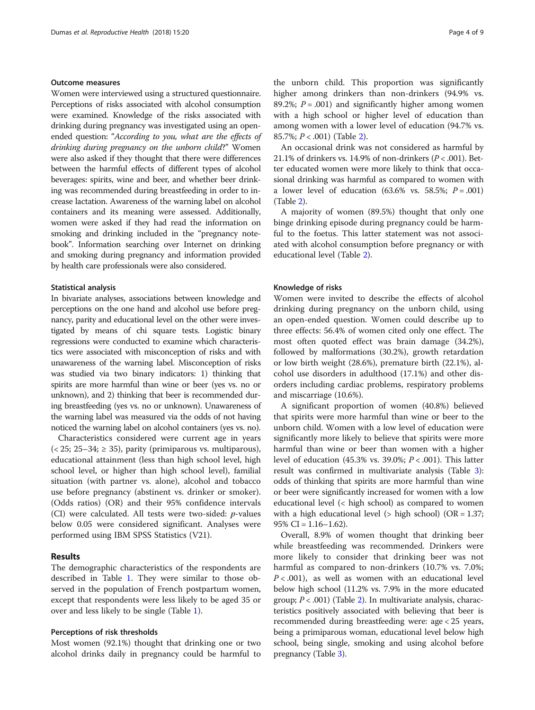#### Outcome measures

Women were interviewed using a structured questionnaire. Perceptions of risks associated with alcohol consumption were examined. Knowledge of the risks associated with drinking during pregnancy was investigated using an openended question: "According to you, what are the effects of drinking during pregnancy on the unborn child?" Women were also asked if they thought that there were differences between the harmful effects of different types of alcohol beverages: spirits, wine and beer, and whether beer drinking was recommended during breastfeeding in order to increase lactation. Awareness of the warning label on alcohol containers and its meaning were assessed. Additionally, women were asked if they had read the information on smoking and drinking included in the "pregnancy notebook". Information searching over Internet on drinking and smoking during pregnancy and information provided by health care professionals were also considered.

### Statistical analysis

In bivariate analyses, associations between knowledge and perceptions on the one hand and alcohol use before pregnancy, parity and educational level on the other were investigated by means of chi square tests. Logistic binary regressions were conducted to examine which characteristics were associated with misconception of risks and with unawareness of the warning label. Misconception of risks was studied via two binary indicators: 1) thinking that spirits are more harmful than wine or beer (yes vs. no or unknown), and 2) thinking that beer is recommended during breastfeeding (yes vs. no or unknown). Unawareness of the warning label was measured via the odds of not having noticed the warning label on alcohol containers (yes vs. no).

Characteristics considered were current age in years  $(< 25; 25-34; \geq 35)$ , parity (primiparous vs. multiparous), educational attainment (less than high school level, high school level, or higher than high school level), familial situation (with partner vs. alone), alcohol and tobacco use before pregnancy (abstinent vs. drinker or smoker). (Odds ratios) (OR) and their 95% confidence intervals (CI) were calculated. All tests were two-sided: p-values below 0.05 were considered significant. Analyses were performed using IBM SPSS Statistics (V21).

## Results

The demographic characteristics of the respondents are described in Table [1.](#page-4-0) They were similar to those observed in the population of French postpartum women, except that respondents were less likely to be aged 35 or over and less likely to be single (Table [1](#page-4-0)).

#### Perceptions of risk thresholds

Most women (92.1%) thought that drinking one or two alcohol drinks daily in pregnancy could be harmful to

the unborn child. This proportion was significantly higher among drinkers than non-drinkers (94.9% vs. 89.2%;  $P = .001$ ) and significantly higher among women with a high school or higher level of education than among women with a lower level of education (94.7% vs. 85.7%;  $P < .001$ ) (Table [2](#page-5-0)).

An occasional drink was not considered as harmful by 21.1% of drinkers vs. 14.9% of non-drinkers ( $P < .001$ ). Better educated women were more likely to think that occasional drinking was harmful as compared to women with a lower level of education  $(63.6\% \text{ vs. } 58.5\%; P = .001)$ (Table [2\)](#page-5-0).

A majority of women (89.5%) thought that only one binge drinking episode during pregnancy could be harmful to the foetus. This latter statement was not associated with alcohol consumption before pregnancy or with educational level (Table [2](#page-5-0)).

### Knowledge of risks

Women were invited to describe the effects of alcohol drinking during pregnancy on the unborn child, using an open-ended question. Women could describe up to three effects: 56.4% of women cited only one effect. The most often quoted effect was brain damage (34.2%), followed by malformations (30.2%), growth retardation or low birth weight (28.6%), premature birth (22.1%), alcohol use disorders in adulthood (17.1%) and other disorders including cardiac problems, respiratory problems and miscarriage (10.6%).

A significant proportion of women (40.8%) believed that spirits were more harmful than wine or beer to the unborn child. Women with a low level of education were significantly more likely to believe that spirits were more harmful than wine or beer than women with a higher level of education (45.3% vs. 39.0%;  $P < .001$ ). This latter result was confirmed in multivariate analysis (Table [3](#page-6-0)): odds of thinking that spirits are more harmful than wine or beer were significantly increased for women with a low educational level (< high school) as compared to women with a high educational level ( $>$  high school) (OR = 1.37; 95% CI =  $1.16-1.62$ ).

Overall, 8.9% of women thought that drinking beer while breastfeeding was recommended. Drinkers were more likely to consider that drinking beer was not harmful as compared to non-drinkers (10.7% vs. 7.0%;  $P < .001$ ), as well as women with an educational level below high school (11.2% vs. 7.9% in the more educated group;  $P < .001$ ) (Table [2\)](#page-5-0). In multivariate analysis, characteristics positively associated with believing that beer is recommended during breastfeeding were: age < 25 years, being a primiparous woman, educational level below high school, being single, smoking and using alcohol before pregnancy (Table [3\)](#page-6-0).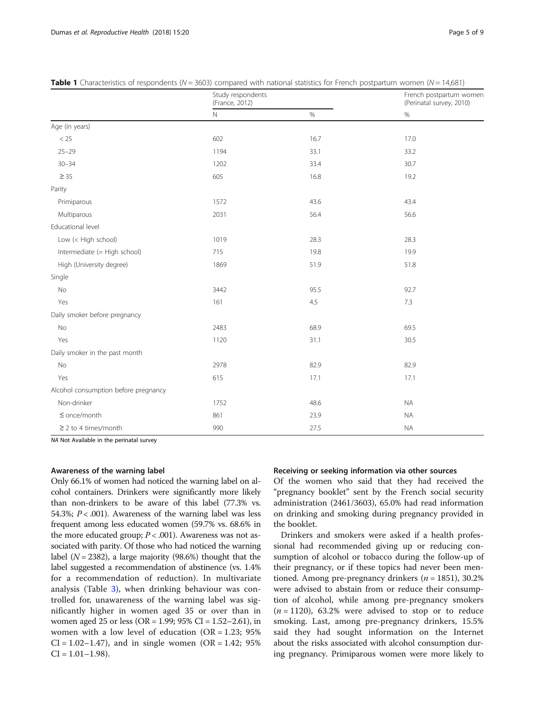|                                      | Study respondents<br>(France, 2012) |      | French postpartum women<br>(Perinatal survey, 2010) |  |
|--------------------------------------|-------------------------------------|------|-----------------------------------------------------|--|
|                                      | $\hbox{N}$                          | $\%$ | $\%$                                                |  |
| Age (in years)                       |                                     |      |                                                     |  |
| $<25\,$                              | 602                                 | 16.7 | 17.0                                                |  |
| $25 - 29$                            | 1194                                | 33.1 | 33.2                                                |  |
| $30 - 34$                            | 1202                                | 33.4 | 30.7                                                |  |
| $\geq$ 35                            | 605                                 | 16.8 | 19.2                                                |  |
| Parity                               |                                     |      |                                                     |  |
| Primiparous                          | 1572                                | 43.6 | 43.4                                                |  |
| Multiparous                          | 2031                                | 56.4 | 56.6                                                |  |
| Educational level                    |                                     |      |                                                     |  |
| Low (< High school)                  | 1019                                | 28.3 | 28.3                                                |  |
| Intermediate (= High school)         | 715                                 | 19.8 | 19.9                                                |  |
| High (University degree)             | 1869                                | 51.9 | 51.8                                                |  |
| Single                               |                                     |      |                                                     |  |
| No                                   | 3442                                | 95.5 | 92.7                                                |  |
| Yes                                  | 161                                 | 4.5  | 7.3                                                 |  |
| Daily smoker before pregnancy        |                                     |      |                                                     |  |
| No                                   | 2483                                | 68.9 | 69.5                                                |  |
| Yes                                  | 1120                                | 31.1 | 30.5                                                |  |
| Daily smoker in the past month       |                                     |      |                                                     |  |
| No                                   | 2978                                | 82.9 | 82.9                                                |  |
| Yes                                  | 615                                 | 17.1 | 17.1                                                |  |
| Alcohol consumption before pregnancy |                                     |      |                                                     |  |
| Non-drinker                          | 1752                                | 48.6 | <b>NA</b>                                           |  |
| $\leq$ once/month                    | 861                                 | 23.9 | <b>NA</b>                                           |  |
| $\geq$ 2 to 4 times/month            | 990                                 | 27.5 | <b>NA</b>                                           |  |

<span id="page-4-0"></span>**Table 1** Characteristics of respondents ( $N = 3603$ ) compared with national statistics for French postpartum women ( $N = 14,681$ )

NA Not Available in the perinatal survey

### Awareness of the warning label

Only 66.1% of women had noticed the warning label on alcohol containers. Drinkers were significantly more likely than non-drinkers to be aware of this label (77.3% vs. 54.3%;  $P < .001$ ). Awareness of the warning label was less frequent among less educated women (59.7% vs. 68.6% in the more educated group;  $P < .001$ ). Awareness was not associated with parity. Of those who had noticed the warning label ( $N = 2382$ ), a large majority (98.6%) thought that the label suggested a recommendation of abstinence (vs. 1.4% for a recommendation of reduction). In multivariate analysis (Table [3\)](#page-6-0), when drinking behaviour was controlled for, unawareness of the warning label was significantly higher in women aged 35 or over than in women aged 25 or less (OR = 1.99; 95% CI = 1.52–2.61), in women with a low level of education  $(OR = 1.23; 95\%)$  $CI = 1.02 - 1.47$ , and in single women (OR = 1.42; 95%  $CI = 1.01 - 1.98$ .

## Receiving or seeking information via other sources

Of the women who said that they had received the "pregnancy booklet" sent by the French social security administration (2461/3603), 65.0% had read information on drinking and smoking during pregnancy provided in the booklet.

Drinkers and smokers were asked if a health professional had recommended giving up or reducing consumption of alcohol or tobacco during the follow-up of their pregnancy, or if these topics had never been mentioned. Among pre-pregnancy drinkers ( $n = 1851$ ), 30.2% were advised to abstain from or reduce their consumption of alcohol, while among pre-pregnancy smokers  $(n = 1120)$ , 63.2% were advised to stop or to reduce smoking. Last, among pre-pregnancy drinkers, 15.5% said they had sought information on the Internet about the risks associated with alcohol consumption during pregnancy. Primiparous women were more likely to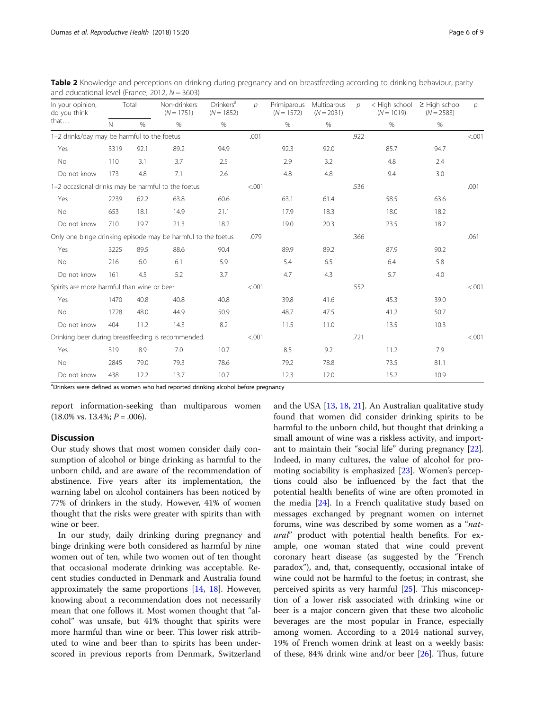| In your opinion,<br>do you think                             |              | Total | Non-drinkers<br>$(N = 1751)$ | <b>Drinkers</b> <sup>a</sup><br>$(N = 1852)$ | $\mathcal{D}$ | Primiparous<br>$(N = 1572)$ | Multiparous<br>$(N = 2031)$ | D    | < High school<br>$(N = 1019)$ | $\geq$ High school<br>$(N = 2583)$ | $\mathcal{D}$ |
|--------------------------------------------------------------|--------------|-------|------------------------------|----------------------------------------------|---------------|-----------------------------|-----------------------------|------|-------------------------------|------------------------------------|---------------|
| that                                                         | $\mathsf{N}$ | $\%$  | %                            | %                                            |               | $\%$                        | $\%$                        |      | $\%$                          | $\%$                               |               |
| 1-2 drinks/day may be harmful to the foetus                  |              |       | .001                         |                                              |               | .922                        |                             |      | < 0.001                       |                                    |               |
| Yes                                                          | 3319         | 92.1  | 89.2                         | 94.9                                         |               | 92.3                        | 92.0                        |      | 85.7                          | 94.7                               |               |
| No                                                           | 110          | 3.1   | 3.7                          | 2.5                                          |               | 2.9                         | 3.2                         |      | 4.8                           | 2.4                                |               |
| Do not know                                                  | 173          | 4.8   | 7.1                          | 2.6                                          |               | 4.8                         | 4.8                         |      | 9.4                           | 3.0                                |               |
| 1-2 occasional drinks may be harmful to the foetus           |              |       |                              |                                              | < .001        |                             |                             | .536 |                               |                                    | .001          |
| Yes                                                          | 2239         | 62.2  | 63.8                         | 60.6                                         |               | 63.1                        | 61.4                        |      | 58.5                          | 63.6                               |               |
| No                                                           | 653          | 18.1  | 14.9                         | 21.1                                         |               | 17.9                        | 18.3                        |      | 18.0                          | 18.2                               |               |
| Do not know                                                  | 710          | 19.7  | 21.3                         | 18.2                                         |               | 19.0                        | 20.3                        |      | 23.5                          | 18.2                               |               |
| Only one binge drinking episode may be harmful to the foetus |              |       | .079                         |                                              |               | .366                        |                             |      | .061                          |                                    |               |
| Yes                                                          | 3225         | 89.5  | 88.6                         | 90.4                                         |               | 89.9                        | 89.2                        |      | 87.9                          | 90.2                               |               |
| No                                                           | 216          | 6.0   | 6.1                          | 5.9                                          |               | 5.4                         | 6.5                         |      | 6.4                           | 5.8                                |               |
| Do not know                                                  | 161          | 4.5   | 5.2                          | 3.7                                          |               | 4.7                         | 4.3                         |      | 5.7                           | 4.0                                |               |
| Spirits are more harmful than wine or beer                   |              |       |                              |                                              | < .001        |                             |                             | .552 |                               |                                    | < 0.001       |
| Yes                                                          | 1470         | 40.8  | 40.8                         | 40.8                                         |               | 39.8                        | 41.6                        |      | 45.3                          | 39.0                               |               |
| No                                                           | 1728         | 48.0  | 44.9                         | 50.9                                         |               | 48.7                        | 47.5                        |      | 41.2                          | 50.7                               |               |
| Do not know                                                  | 404          | 11.2  | 14.3                         | 8.2                                          |               | 11.5                        | 11.0                        |      | 13.5                          | 10.3                               |               |
| Drinking beer during breastfeeding is recommended            |              |       |                              |                                              | < .001        |                             |                             | .721 |                               |                                    | < 0.001       |
| Yes                                                          | 319          | 8.9   | 7.0                          | 10.7                                         |               | 8.5                         | 9.2                         |      | 11.2                          | 7.9                                |               |
| <b>No</b>                                                    | 2845         | 79.0  | 79.3                         | 78.6                                         |               | 79.2                        | 78.8                        |      | 73.5                          | 81.1                               |               |
| Do not know                                                  | 438          | 12.2  | 13.7                         | 10.7                                         |               | 12.3                        | 12.0                        |      | 15.2                          | 10.9                               |               |

<span id="page-5-0"></span>Table 2 Knowledge and perceptions on drinking during pregnancy and on breastfeeding according to drinking behaviour, parity and educational level (France, 2012,  $N = 3603$ )

<sup>a</sup>Drinkers were defined as women who had reported drinking alcohol before pregnancy

report information-seeking than multiparous women  $(18.0\% \text{ vs. } 13.4\%; P = .006).$ 

## **Discussion**

Our study shows that most women consider daily consumption of alcohol or binge drinking as harmful to the unborn child, and are aware of the recommendation of abstinence. Five years after its implementation, the warning label on alcohol containers has been noticed by 77% of drinkers in the study. However, 41% of women thought that the risks were greater with spirits than with wine or beer.

In our study, daily drinking during pregnancy and binge drinking were both considered as harmful by nine women out of ten, while two women out of ten thought that occasional moderate drinking was acceptable. Recent studies conducted in Denmark and Australia found approximately the same proportions [[14,](#page-8-0) [18\]](#page-8-0). However, knowing about a recommendation does not necessarily mean that one follows it. Most women thought that "alcohol" was unsafe, but 41% thought that spirits were more harmful than wine or beer. This lower risk attributed to wine and beer than to spirits has been underscored in previous reports from Denmark, Switzerland

and the USA [[13](#page-7-0), [18](#page-8-0), [21](#page-8-0)]. An Australian qualitative study found that women did consider drinking spirits to be harmful to the unborn child, but thought that drinking a small amount of wine was a riskless activity, and important to maintain their "social life" during pregnancy [\[22](#page-8-0)]. Indeed, in many cultures, the value of alcohol for promoting sociability is emphasized [[23\]](#page-8-0). Women's perceptions could also be influenced by the fact that the potential health benefits of wine are often promoted in the media [\[24\]](#page-8-0). In a French qualitative study based on messages exchanged by pregnant women on internet forums, wine was described by some women as a "natural" product with potential health benefits. For example, one woman stated that wine could prevent coronary heart disease (as suggested by the "French paradox"), and, that, consequently, occasional intake of wine could not be harmful to the foetus; in contrast, she perceived spirits as very harmful [[25\]](#page-8-0). This misconception of a lower risk associated with drinking wine or beer is a major concern given that these two alcoholic beverages are the most popular in France, especially among women. According to a 2014 national survey, 19% of French women drink at least on a weekly basis: of these, 84% drink wine and/or beer [[26\]](#page-8-0). Thus, future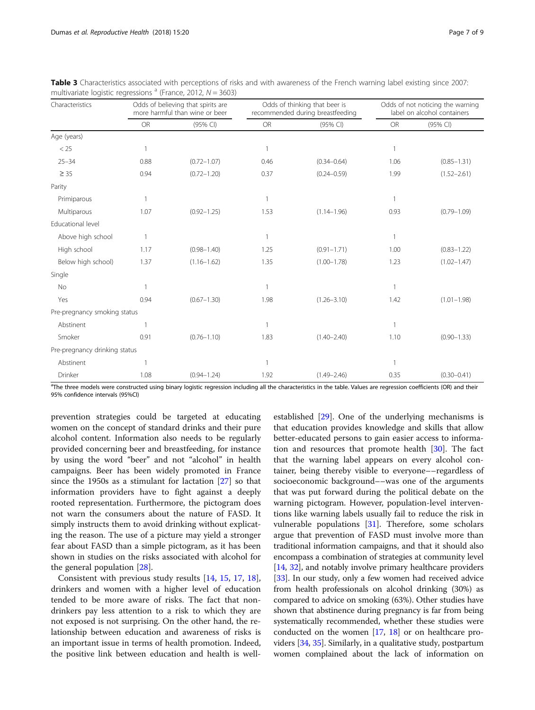| Characteristics               | Odds of believing that spirits are<br>more harmful than wine or beer |                 |           | Odds of thinking that beer is<br>recommended during breastfeeding | Odds of not noticing the warning<br>label on alcohol containers |                 |
|-------------------------------|----------------------------------------------------------------------|-----------------|-----------|-------------------------------------------------------------------|-----------------------------------------------------------------|-----------------|
|                               | <b>OR</b>                                                            | (95% CI)        | <b>OR</b> | (95% CI)                                                          | <b>OR</b>                                                       | (95% CI)        |
| Age (years)                   |                                                                      |                 |           |                                                                   |                                                                 |                 |
| < 25                          |                                                                      |                 | 1         |                                                                   | $\mathbf{1}$                                                    |                 |
| $25 - 34$                     | 0.88                                                                 | $(0.72 - 1.07)$ | 0.46      | $(0.34 - 0.64)$                                                   | 1.06                                                            | $(0.85 - 1.31)$ |
| $\geq 35$                     | 0.94                                                                 | $(0.72 - 1.20)$ | 0.37      | $(0.24 - 0.59)$                                                   | 1.99                                                            | $(1.52 - 2.61)$ |
| Parity                        |                                                                      |                 |           |                                                                   |                                                                 |                 |
| Primiparous                   | 1                                                                    |                 | 1         |                                                                   | $\overline{1}$                                                  |                 |
| Multiparous                   | 1.07                                                                 | $(0.92 - 1.25)$ | 1.53      | $(1.14 - 1.96)$                                                   | 0.93                                                            | $(0.79 - 1.09)$ |
| Educational level             |                                                                      |                 |           |                                                                   |                                                                 |                 |
| Above high school             | $\mathbf{1}$                                                         |                 | 1         |                                                                   | $\mathbf{1}$                                                    |                 |
| High school                   | 1.17                                                                 | $(0.98 - 1.40)$ | 1.25      | $(0.91 - 1.71)$                                                   | 1.00                                                            | $(0.83 - 1.22)$ |
| Below high school)            | 1.37                                                                 | $(1.16 - 1.62)$ | 1.35      | $(1.00 - 1.78)$                                                   | 1.23                                                            | $(1.02 - 1.47)$ |
| Single                        |                                                                      |                 |           |                                                                   |                                                                 |                 |
| <b>No</b>                     | $\mathbf{1}$                                                         |                 | 1         |                                                                   | 1                                                               |                 |
| Yes                           | 0.94                                                                 | $(0.67 - 1.30)$ | 1.98      | $(1.26 - 3.10)$                                                   | 1.42                                                            | $(1.01 - 1.98)$ |
| Pre-pregnancy smoking status  |                                                                      |                 |           |                                                                   |                                                                 |                 |
| Abstinent                     |                                                                      |                 | 1         |                                                                   | $\mathbf{1}$                                                    |                 |
| Smoker                        | 0.91                                                                 | $(0.76 - 1.10)$ | 1.83      | $(1.40 - 2.40)$                                                   | 1.10                                                            | $(0.90 - 1.33)$ |
| Pre-pregnancy drinking status |                                                                      |                 |           |                                                                   |                                                                 |                 |
| Abstinent                     |                                                                      |                 | 1         |                                                                   | $\mathbf{1}$                                                    |                 |
| Drinker                       | 1.08                                                                 | $(0.94 - 1.24)$ | 1.92      | $(1.49 - 2.46)$                                                   | 0.35                                                            | $(0.30 - 0.41)$ |

<span id="page-6-0"></span>Table 3 Characteristics associated with perceptions of risks and with awareness of the French warning label existing since 2007: multivariate logistic regressions  $a$  (France, 2012,  $N = 3603$ )

<sup>a</sup>The three models were constructed using binary logistic regression including all the characteristics in the table. Values are regression coefficients (OR) and their 95% confidence intervals (95%CI)

prevention strategies could be targeted at educating women on the concept of standard drinks and their pure alcohol content. Information also needs to be regularly provided concerning beer and breastfeeding, for instance by using the word "beer" and not "alcohol" in health campaigns. Beer has been widely promoted in France since the 1950s as a stimulant for lactation [\[27\]](#page-8-0) so that information providers have to fight against a deeply rooted representation. Furthermore, the pictogram does not warn the consumers about the nature of FASD. It simply instructs them to avoid drinking without explicating the reason. The use of a picture may yield a stronger fear about FASD than a simple pictogram, as it has been shown in studies on the risks associated with alcohol for the general population [\[28](#page-8-0)].

Consistent with previous study results [\[14](#page-8-0), [15,](#page-8-0) [17,](#page-8-0) [18](#page-8-0)], drinkers and women with a higher level of education tended to be more aware of risks. The fact that nondrinkers pay less attention to a risk to which they are not exposed is not surprising. On the other hand, the relationship between education and awareness of risks is an important issue in terms of health promotion. Indeed, the positive link between education and health is wellestablished [\[29\]](#page-8-0). One of the underlying mechanisms is that education provides knowledge and skills that allow better-educated persons to gain easier access to information and resources that promote health [[30\]](#page-8-0). The fact that the warning label appears on every alcohol container, being thereby visible to everyone––regardless of socioeconomic background––was one of the arguments that was put forward during the political debate on the warning pictogram. However, population-level interventions like warning labels usually fail to reduce the risk in vulnerable populations [\[31](#page-8-0)]. Therefore, some scholars argue that prevention of FASD must involve more than traditional information campaigns, and that it should also encompass a combination of strategies at community level [[14](#page-8-0), [32](#page-8-0)], and notably involve primary healthcare providers [[33](#page-8-0)]. In our study, only a few women had received advice from health professionals on alcohol drinking (30%) as compared to advice on smoking (63%). Other studies have shown that abstinence during pregnancy is far from being systematically recommended, whether these studies were conducted on the women [\[17](#page-8-0), [18\]](#page-8-0) or on healthcare providers [\[34,](#page-8-0) [35\]](#page-8-0). Similarly, in a qualitative study, postpartum women complained about the lack of information on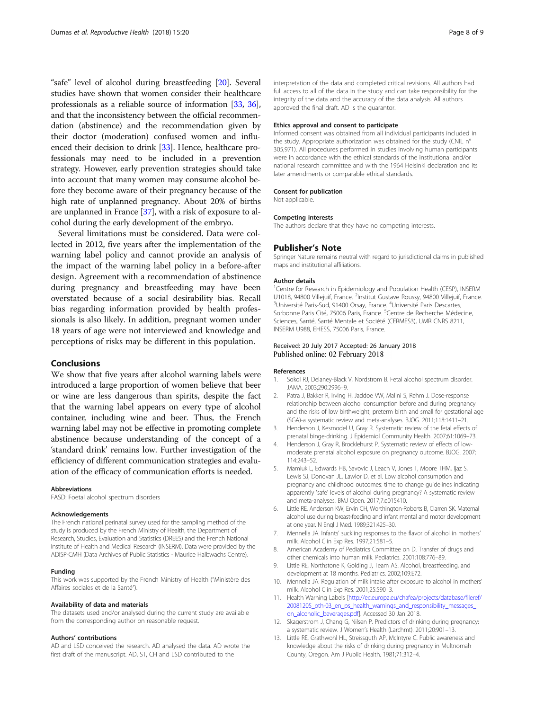<span id="page-7-0"></span>"safe" level of alcohol during breastfeeding [[20](#page-8-0)]. Several studies have shown that women consider their healthcare professionals as a reliable source of information [\[33,](#page-8-0) [36](#page-8-0)], and that the inconsistency between the official recommendation (abstinence) and the recommendation given by their doctor (moderation) confused women and influenced their decision to drink [\[33\]](#page-8-0). Hence, healthcare professionals may need to be included in a prevention strategy. However, early prevention strategies should take into account that many women may consume alcohol before they become aware of their pregnancy because of the high rate of unplanned pregnancy. About 20% of births are unplanned in France [\[37](#page-8-0)], with a risk of exposure to alcohol during the early development of the embryo.

Several limitations must be considered. Data were collected in 2012, five years after the implementation of the warning label policy and cannot provide an analysis of the impact of the warning label policy in a before-after design. Agreement with a recommendation of abstinence during pregnancy and breastfeeding may have been overstated because of a social desirability bias. Recall bias regarding information provided by health professionals is also likely. In addition, pregnant women under 18 years of age were not interviewed and knowledge and perceptions of risks may be different in this population.

## Conclusions

We show that five years after alcohol warning labels were introduced a large proportion of women believe that beer or wine are less dangerous than spirits, despite the fact that the warning label appears on every type of alcohol container, including wine and beer. Thus, the French warning label may not be effective in promoting complete abstinence because understanding of the concept of a 'standard drink' remains low. Further investigation of the efficiency of different communication strategies and evaluation of the efficacy of communication efforts is needed.

#### Abbreviations

FASD: Foetal alcohol spectrum disorders

#### Acknowledgements

The French national perinatal survey used for the sampling method of the study is produced by the French Ministry of Health, the Department of Research, Studies, Evaluation and Statistics (DREES) and the French National Institute of Health and Medical Research (INSERM). Data were provided by the ADISP-CMH (Data Archives of Public Statistics - Maurice Halbwachs Centre).

#### Funding

This work was supported by the French Ministry of Health ("Ministère des Affaires sociales et de la Santé").

#### Availability of data and materials

The datasets used and/or analysed during the current study are available from the corresponding author on reasonable request.

#### Authors' contributions

AD and LSD conceived the research. AD analysed the data. AD wrote the first draft of the manuscript. AD, ST, CH and LSD contributed to the

interpretation of the data and completed critical revisions. All authors had full access to all of the data in the study and can take responsibility for the integrity of the data and the accuracy of the data analysis. All authors approved the final draft. AD is the guarantor.

#### Ethics approval and consent to participate

Informed consent was obtained from all individual participants included in the study. Appropriate authorization was obtained for the study (CNIL n° 305,971). All procedures performed in studies involving human participants were in accordance with the ethical standards of the institutional and/or national research committee and with the 1964 Helsinki declaration and its later amendments or comparable ethical standards.

#### Consent for publication

Not applicable.

#### Competing interests

The authors declare that they have no competing interests.

#### Publisher's Note

Springer Nature remains neutral with regard to jurisdictional claims in published maps and institutional affiliations.

#### Author details

<sup>1</sup>Centre for Research in Epidemiology and Population Health (CESP), INSERM U1018, 94800 Villejuif, France. <sup>2</sup>Institut Gustave Roussy, 94800 Villejuif, France.<br><sup>3</sup>Université Paris-Sud. 91400 Orsay, France. <sup>4</sup>Université Paris Descartes. Université Paris-Sud, 91400 Orsay, France. <sup>4</sup>Université Paris Descartes Sorbonne Paris Cité, 75006 Paris, France. <sup>5</sup>Centre de Recherche Médecine, Sciences, Santé, Santé Mentale et Société (CERMES3), UMR CNRS 8211, INSERM U988, EHESS, 75006 Paris, France.

#### Received: 20 July 2017 Accepted: 26 January 2018 Published online: 02 February 2018

#### References

- 1. Sokol RJ, Delaney-Black V, Nordstrom B. Fetal alcohol spectrum disorder. JAMA. 2003;290:2996–9.
- 2. Patra J, Bakker R, Irving H, Jaddoe VW, Malini S, Rehm J. Dose-response relationship between alcohol consumption before and during pregnancy and the risks of low birthweight, preterm birth and small for gestational age (SGA)-a systematic review and meta-analyses. BJOG. 2011;118:1411–21.
- 3. Henderson J, Kesmodel U, Gray R. Systematic review of the fetal effects of prenatal binge-drinking. J Epidemiol Community Health. 2007;61:1069–73.
- 4. Henderson J, Gray R, Brocklehurst P. Systematic review of effects of lowmoderate prenatal alcohol exposure on pregnancy outcome. BJOG. 2007; 114:243–52.
- 5. Mamluk L, Edwards HB, Savovic J, Leach V, Jones T, Moore THM, Ijaz S, Lewis SJ, Donovan JL, Lawlor D, et al. Low alcohol consumption and pregnancy and childhood outcomes: time to change guidelines indicating apparently 'safe' levels of alcohol during pregnancy? A systematic review and meta-analyses. BMJ Open. 2017;7:e015410.
- 6. Little RE, Anderson KW, Ervin CH, Worthington-Roberts B, Clarren SK. Maternal alcohol use during breast-feeding and infant mental and motor development at one year. N Engl J Med. 1989;321:425–30.
- 7. Mennella JA. Infants' suckling responses to the flavor of alcohol in mothers' milk. Alcohol Clin Exp Res. 1997;21:581–5.
- 8. American Academy of Pediatrics Committee on D. Transfer of drugs and other chemicals into human milk. Pediatrics. 2001;108:776–89.
- 9. Little RE, Northstone K, Golding J, Team AS. Alcohol, breastfeeding, and development at 18 months. Pediatrics. 2002;109:E72.
- 10. Mennella JA. Regulation of milk intake after exposure to alcohol in mothers' milk. Alcohol Clin Exp Res. 2001;25:590–3.
- 11. Health Warning Labels [\[http://ec.europa.eu/chafea/projects/database/fileref/](http://ec.europa.eu/chafea/projects/database/fileref/20081205_oth-03_en_ps_health_warnings_and_responsibility_messages_on_alcoholic_beverages.pdf) [20081205\\_oth-03\\_en\\_ps\\_health\\_warnings\\_and\\_responsibility\\_messages\\_](http://ec.europa.eu/chafea/projects/database/fileref/20081205_oth-03_en_ps_health_warnings_and_responsibility_messages_on_alcoholic_beverages.pdf) [on\\_alcoholic\\_beverages.pdf](http://ec.europa.eu/chafea/projects/database/fileref/20081205_oth-03_en_ps_health_warnings_and_responsibility_messages_on_alcoholic_beverages.pdf)]. Accessed 30 Jan 2018.
- 12. Skagerstrom J, Chang G, Nilsen P. Predictors of drinking during pregnancy: a systematic review. J Women's Health (Larchmt). 2011;20:901–13.
- 13. Little RE, Grathwohl HL, Streissguth AP, McIntyre C. Public awareness and knowledge about the risks of drinking during pregnancy in Multnomah County, Oregon. Am J Public Health. 1981;71:312–4.